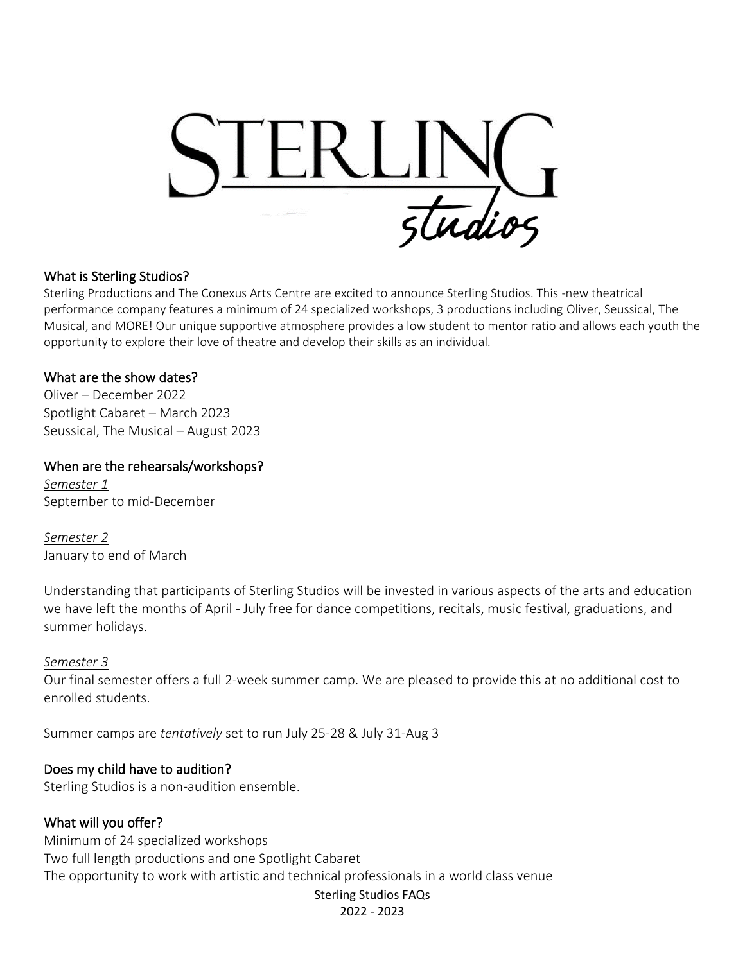

#### What is Sterling Studios?

Sterling Productions and The Conexus Arts Centre are excited to announce Sterling Studios. This -new theatrical performance company features a minimum of 24 specialized workshops, 3 productions including Oliver, Seussical, The Musical, and MORE! Our unique supportive atmosphere provides a low student to mentor ratio and allows each youth the opportunity to explore their love of theatre and develop their skills as an individual.

#### What are the show dates?

Oliver – December 2022 Spotlight Cabaret – March 2023 Seussical, The Musical – August 2023

#### When are the rehearsals/workshops?

*Semester 1* September to mid-December

*Semester 2* January to end of March

Understanding that participants of Sterling Studios will be invested in various aspects of the arts and education we have left the months of April - July free for dance competitions, recitals, music festival, graduations, and summer holidays.

#### *Semester 3*

Our final semester offers a full 2-week summer camp. We are pleased to provide this at no additional cost to enrolled students.

Summer camps are *tentatively* set to run July 25-28 & July 31-Aug 3

## Does my child have to audition?

Sterling Studios is a non-audition ensemble.

## What will you offer?

Sterling Studios FAQs Minimum of 24 specialized workshops Two full length productions and one Spotlight Cabaret The opportunity to work with artistic and technical professionals in a world class venue

2022 - 2023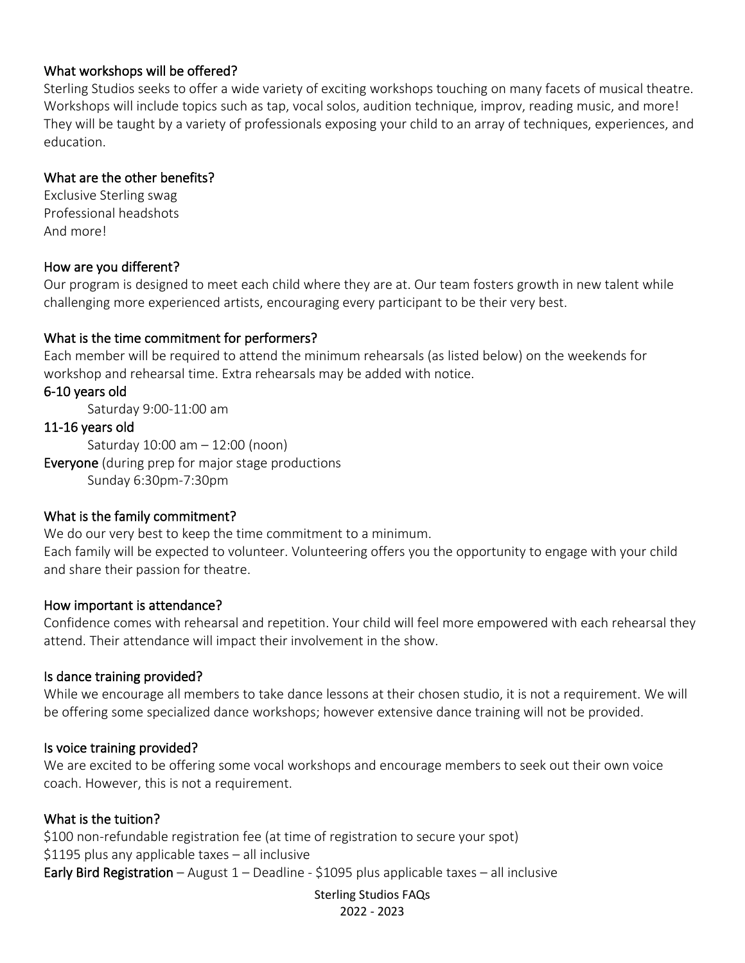# What workshops will be offered?

Sterling Studios seeks to offer a wide variety of exciting workshops touching on many facets of musical theatre. Workshops will include topics such as tap, vocal solos, audition technique, improv, reading music, and more! They will be taught by a variety of professionals exposing your child to an array of techniques, experiences, and education.

## What are the other benefits?

Exclusive Sterling swag Professional headshots And more!

## How are you different?

Our program is designed to meet each child where they are at. Our team fosters growth in new talent while challenging more experienced artists, encouraging every participant to be their very best.

## What is the time commitment for performers?

Each member will be required to attend the minimum rehearsals (as listed below) on the weekends for workshop and rehearsal time. Extra rehearsals may be added with notice.

## 6-10 years old

Saturday 9:00-11:00 am

## 11-16 years old

Saturday 10:00 am – 12:00 (noon)

Everyone (during prep for major stage productions Sunday 6:30pm-7:30pm

## What is the family commitment?

We do our very best to keep the time commitment to a minimum. Each family will be expected to volunteer. Volunteering offers you the opportunity to engage with your child and share their passion for theatre.

## How important is attendance?

Confidence comes with rehearsal and repetition. Your child will feel more empowered with each rehearsal they attend. Their attendance will impact their involvement in the show.

## Is dance training provided?

While we encourage all members to take dance lessons at their chosen studio, it is not a requirement. We will be offering some specialized dance workshops; however extensive dance training will not be provided.

## Is voice training provided?

We are excited to be offering some vocal workshops and encourage members to seek out their own voice coach. However, this is not a requirement.

## What is the tuition?

\$100 non-refundable registration fee (at time of registration to secure your spot) \$1195 plus any applicable taxes – all inclusive Early Bird Registration - August  $1$  - Deadline - \$1095 plus applicable taxes - all inclusive

> Sterling Studios FAQs 2022 - 2023